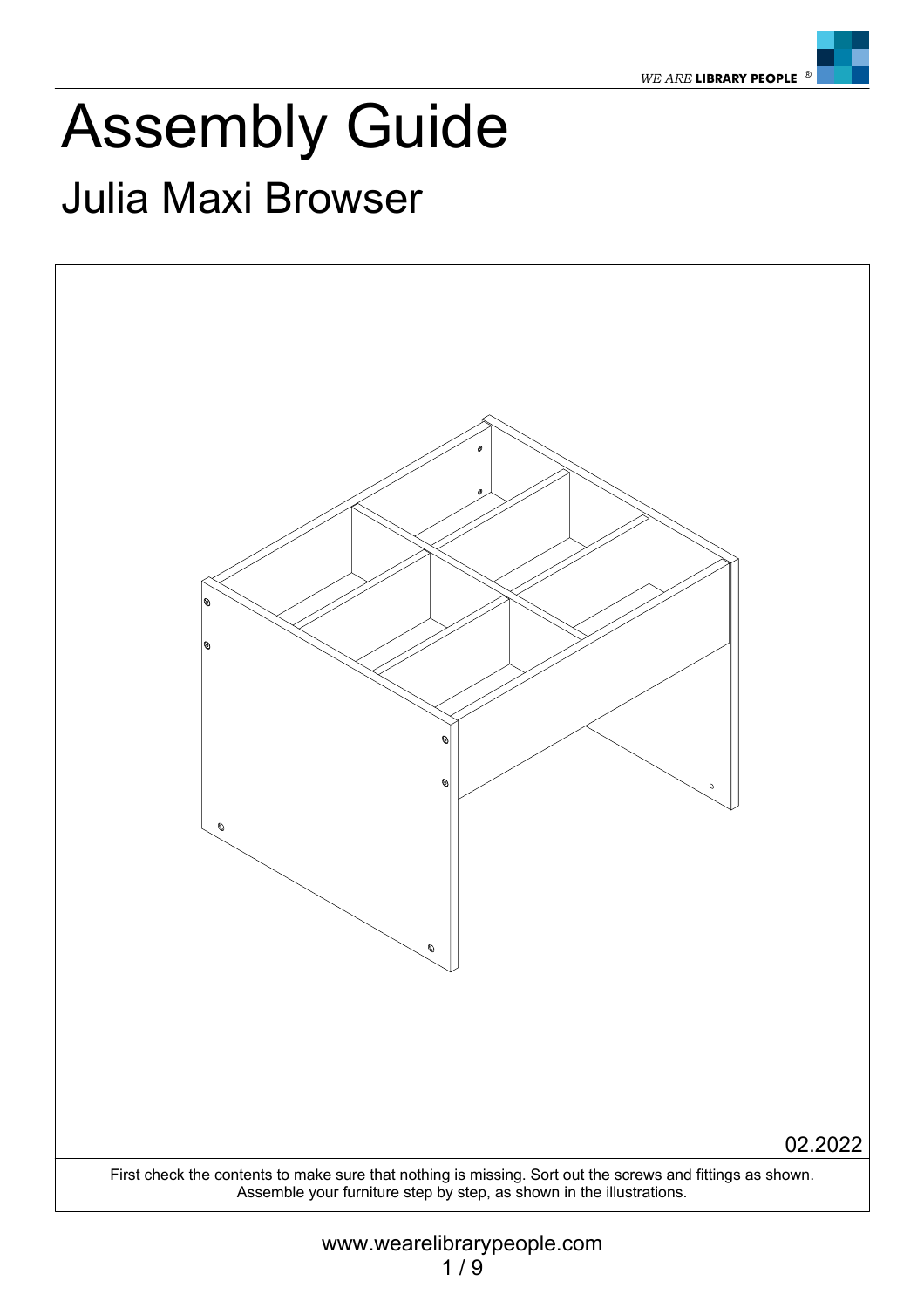

### Assembly Guide Julia Maxi Browser

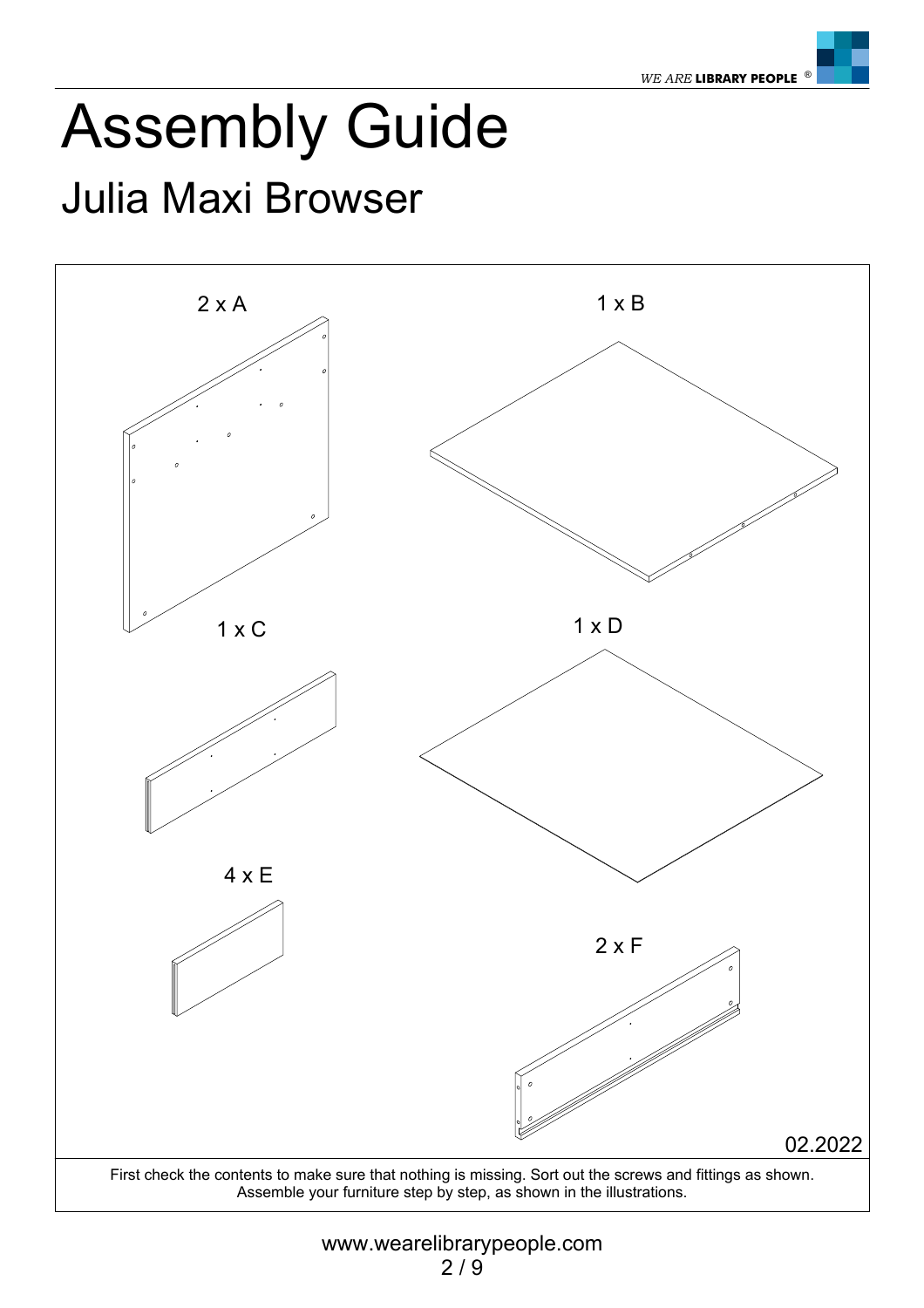

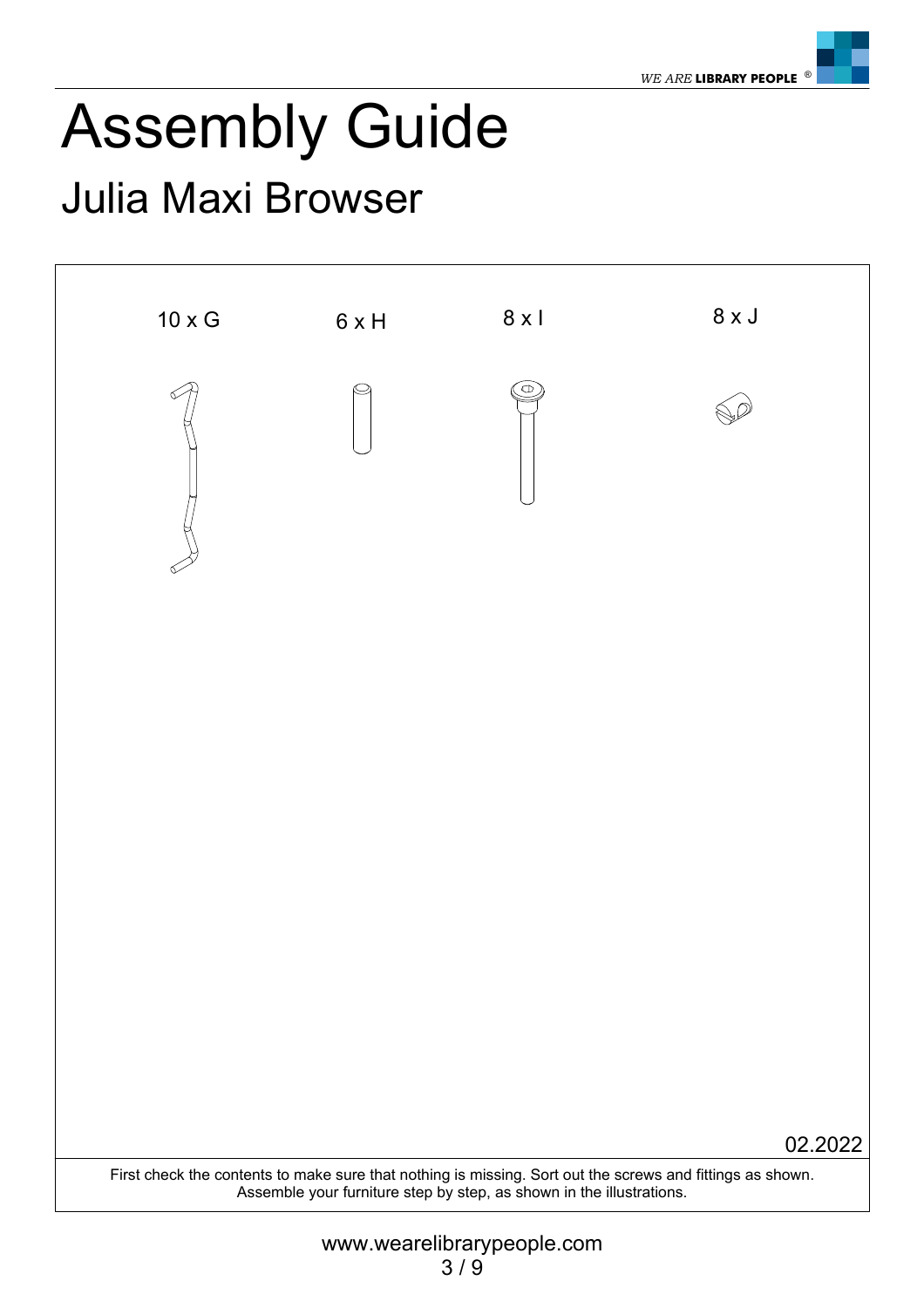

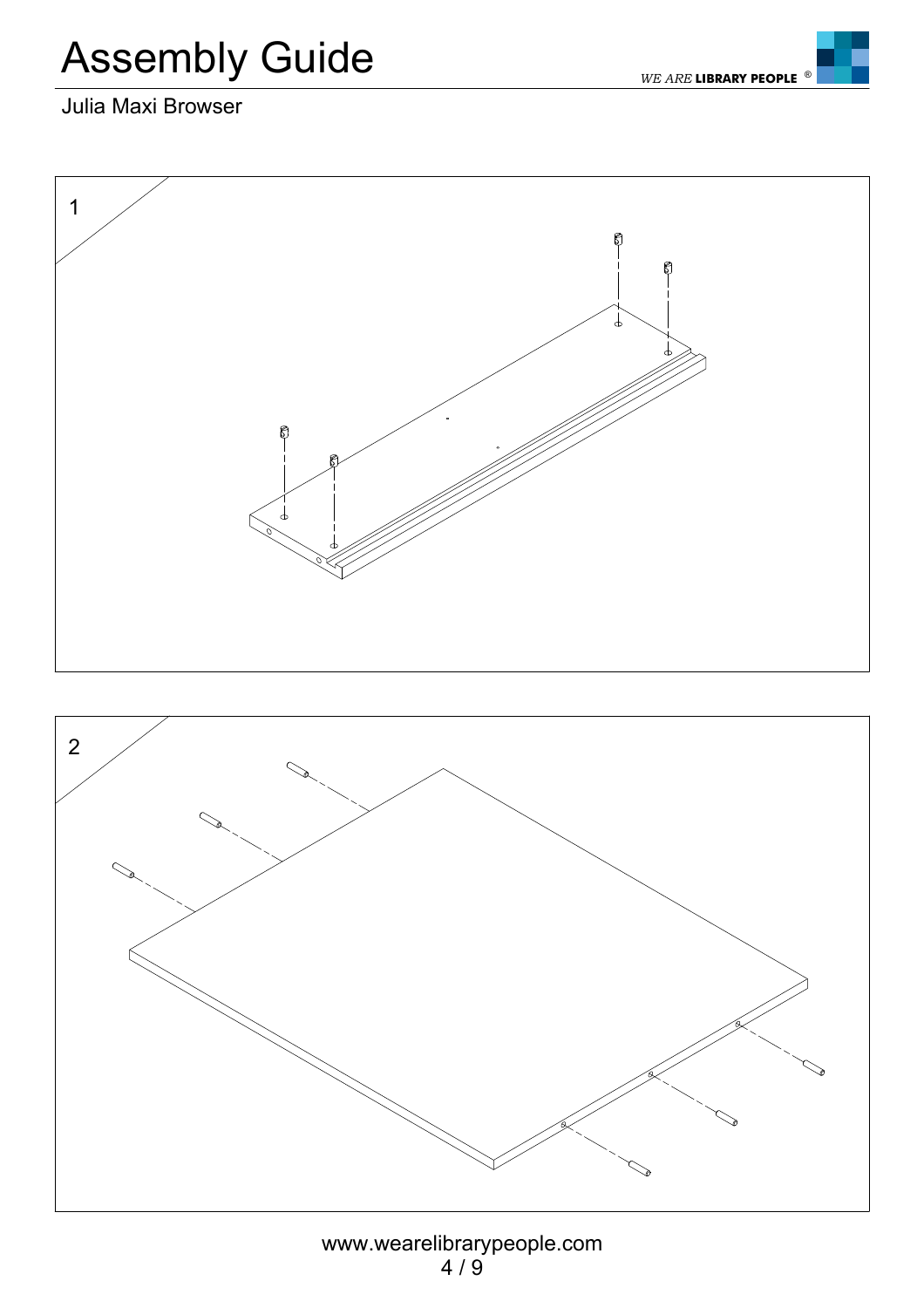



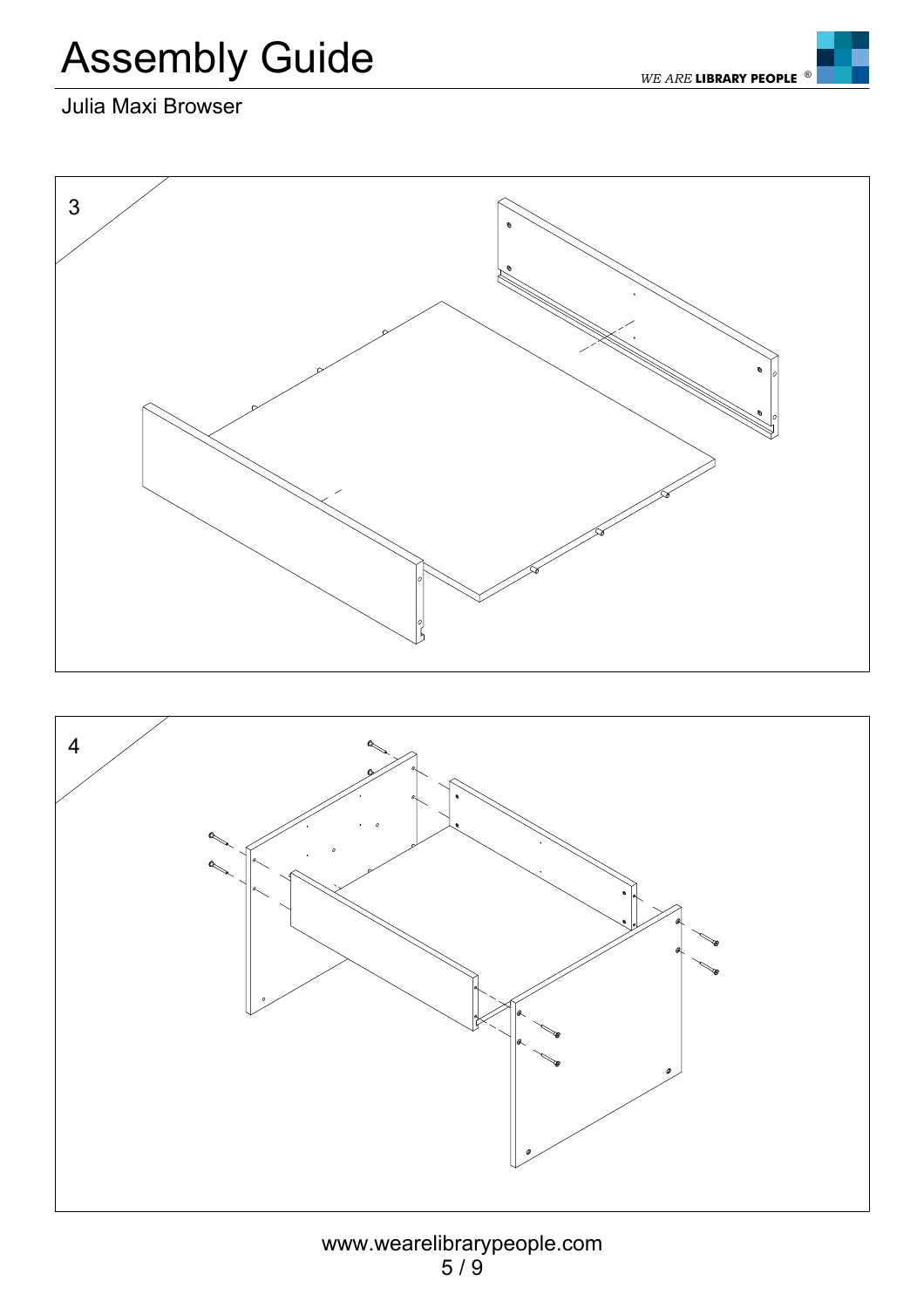



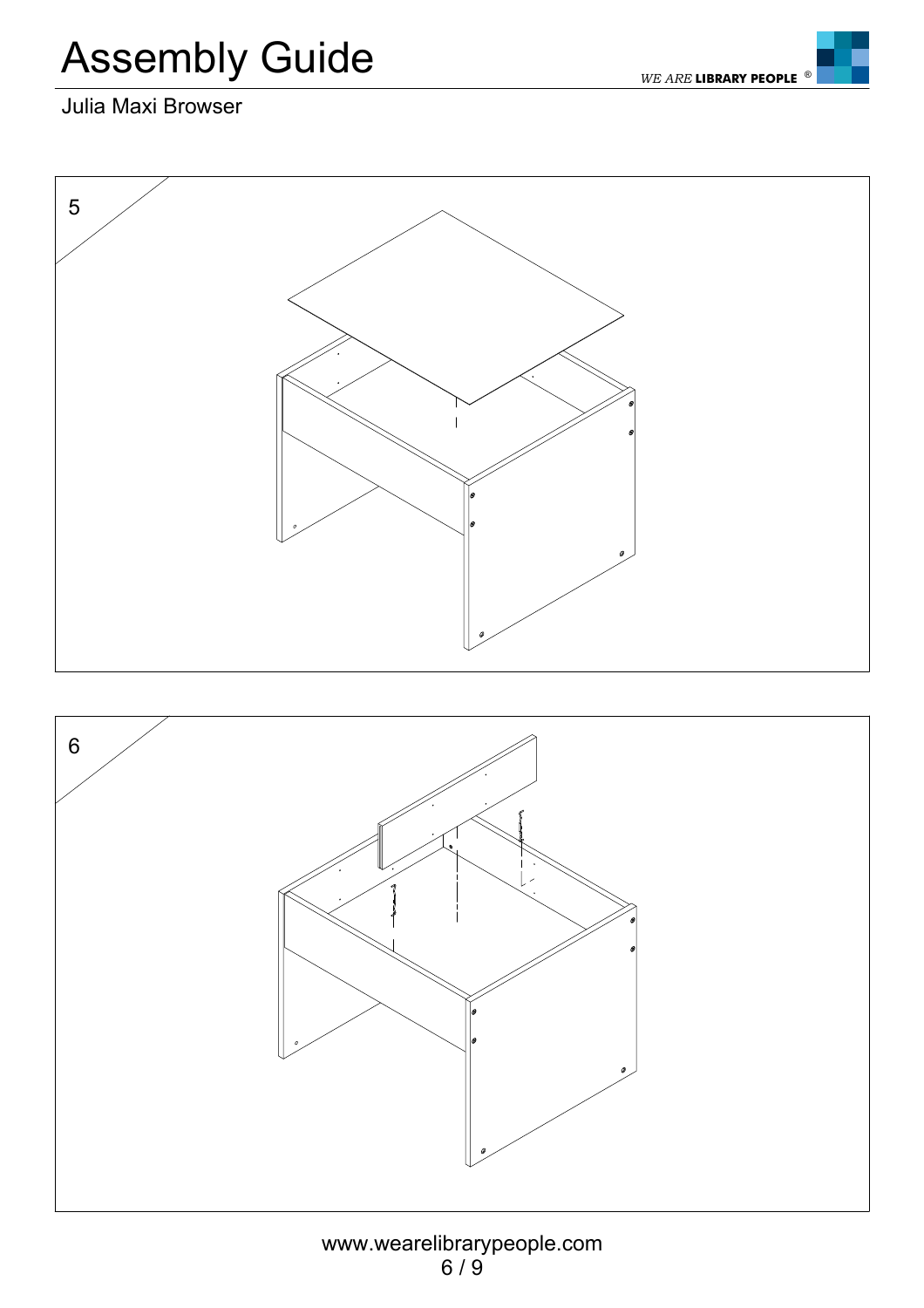*WE ARE* **LIBRARY PEOPLE**



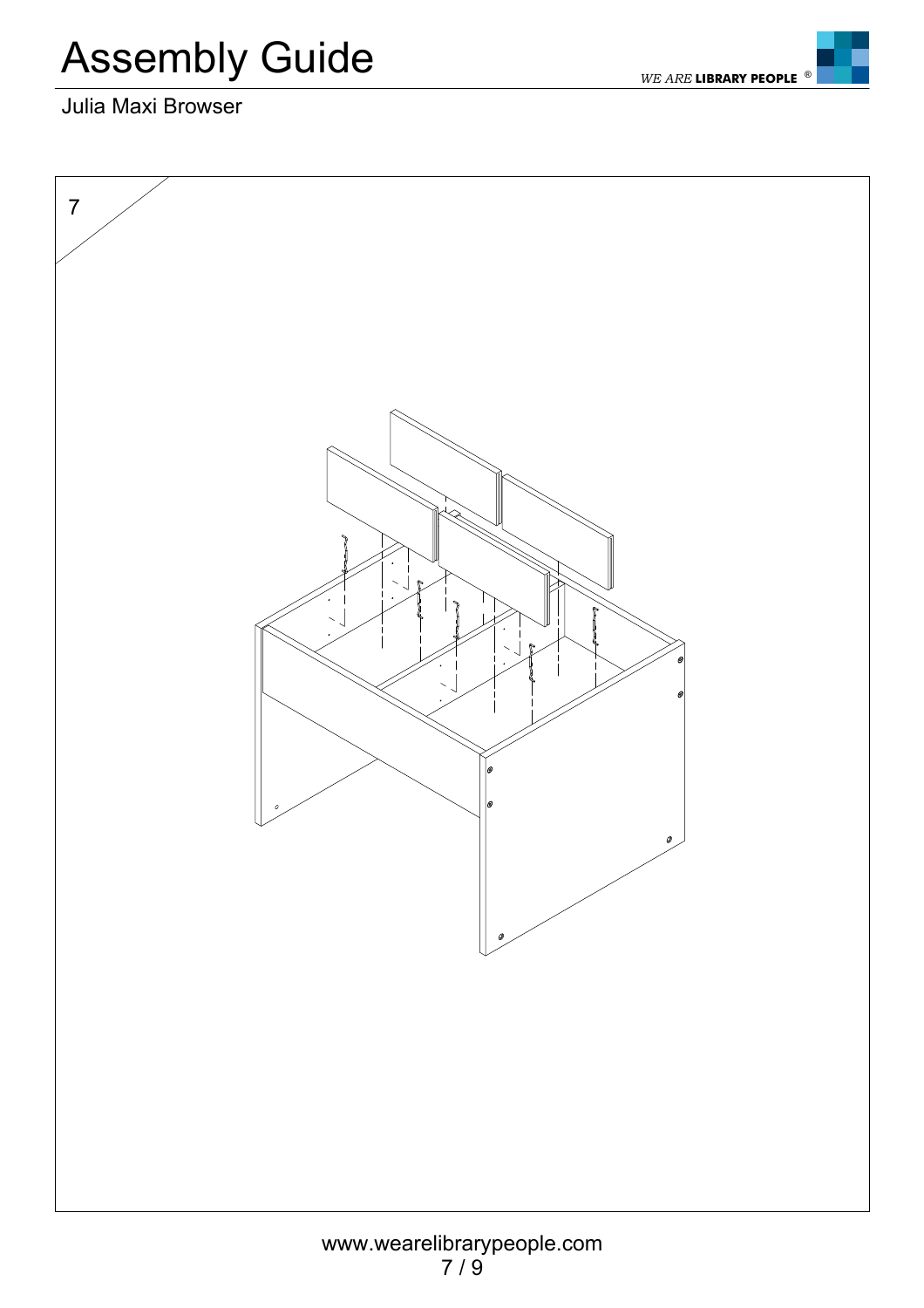*WE ARE* **LIBRARY PEOPLE**

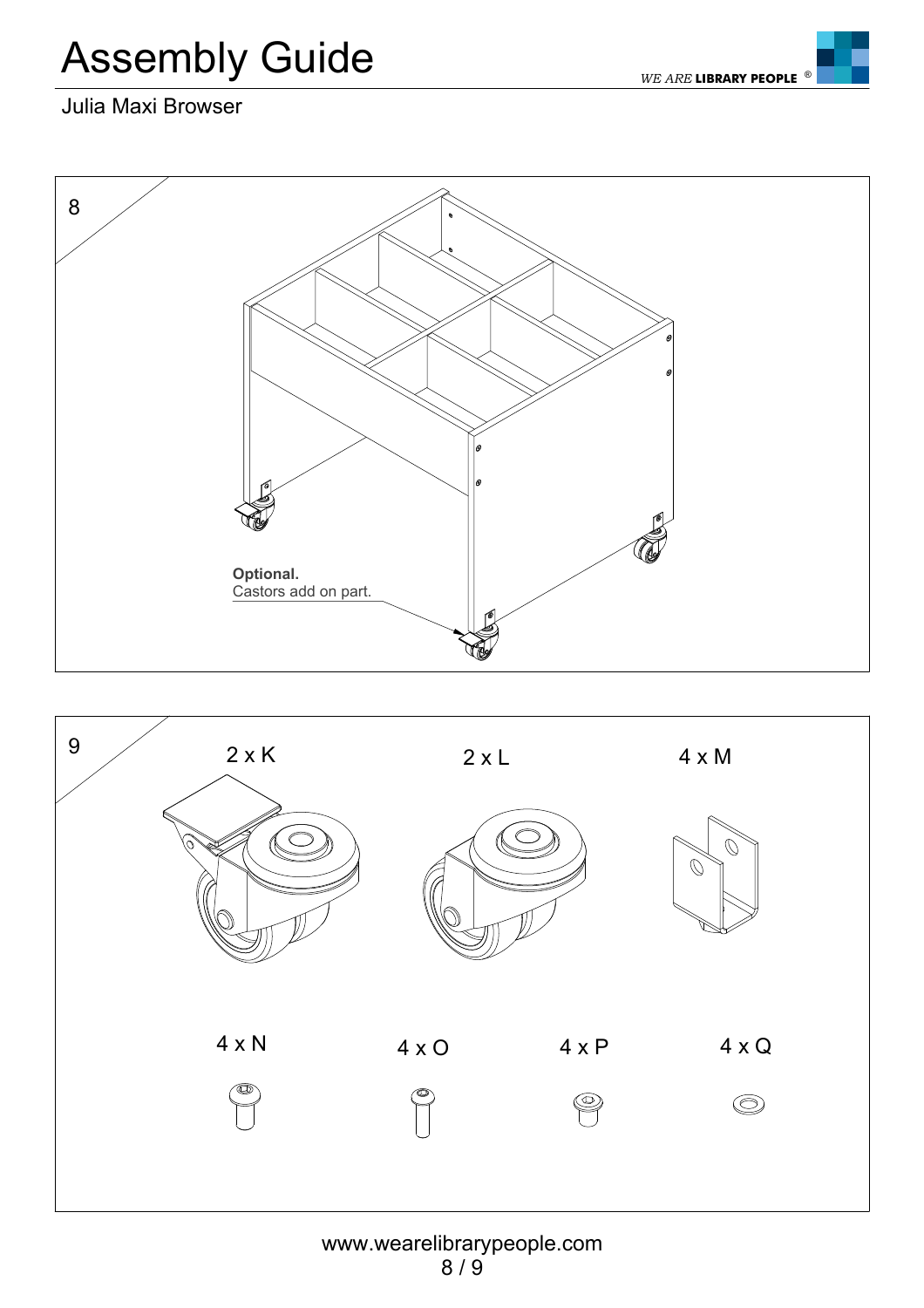*WE ARE* **LIBRARY PEOPLE**

#### Julia Maxi Browser





#### www.wearelibrarypeople.com 8 / 9